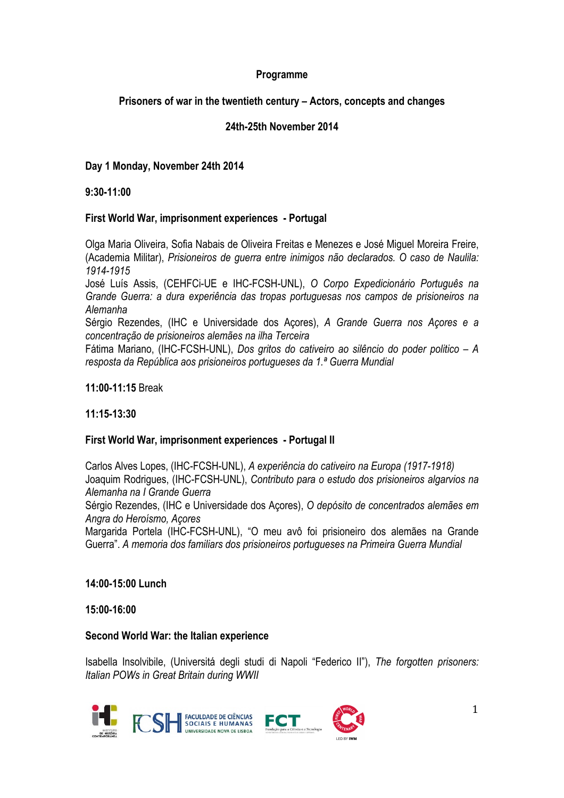# **Programme**

# **Prisoners of war in the twentieth century – Actors, concepts and changes**

# **24th-25th November 2014**

# **Day 1 Monday, November 24th 2014**

### **9:30-11:00**

## **First World War, imprisonment experiences - Portugal**

Olga Maria Oliveira, Sofia Nabais de Oliveira Freitas e Menezes e José Miguel Moreira Freire, (Academia Militar), *Prisioneiros de guerra entre inimigos não declarados. O caso de Naulila: 1914-1915*

José Luís Assis, (CEHFCi-UE e IHC-FCSH-UNL), *O Corpo Expedicionário Português na Grande Guerra: a dura experiência das tropas portuguesas nos campos de prisioneiros na Alemanha*

Sérgio Rezendes, (IHC e Universidade dos Açores), *A Grande Guerra nos Açores e a concentração de prisioneiros alemães na ilha Terceira*

Fátima Mariano, (IHC-FCSH-UNL), *Dos gritos do cativeiro ao silêncio do poder politico – A resposta da República aos prisioneiros portugueses da 1.ª Guerra Mundial*

### **11:00-11:15** Break

## **11:15-13:30**

## **First World War, imprisonment experiences - Portugal II**

Carlos Alves Lopes, (IHC-FCSH-UNL), *A experiência do cativeiro na Europa (1917-1918)* Joaquim Rodrigues, (IHC-FCSH-UNL), *Contributo para o estudo dos prisioneiros algarvios na Alemanha na I Grande Guerra*

Sérgio Rezendes, (IHC e Universidade dos Açores), *O depósito de concentrados alemães em Angra do Heroísmo, Açores*

Margarida Portela (IHC-FCSH-UNL), "O meu avô foi prisioneiro dos alemães na Grande Guerra". *A memoria dos familiars dos prisioneiros portugueses na Primeira Guerra Mundial*

## **14:00-15:00 Lunch**

#### **15:00-16:00**

#### **Second World War: the Italian experience**

Isabella Insolvibile, (Universitá degli studi di Napoli "Federico II"), *The forgotten prisoners: Italian POWs in Great Britain during WWII*

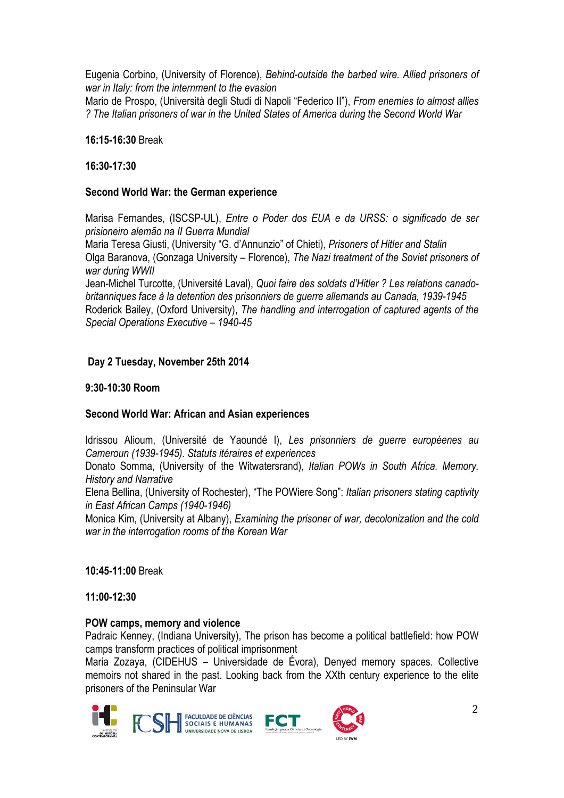Eugenia Corbino, (University of Florence), *Behind-outside the barbed wire. Allied prisoners of war in Italy: from the internment to the evasion*

Mario de Prospo, (Università degli Studi di Napoli "Federico II"), *From enemies to almost allies ? The Italian prisoners of war in the United States of America during the Second World War*

### **16:15-16:30** Break

### **16:30-17:30**

### **Second World War: the German experience**

Marisa Fernandes, (ISCSP-UL), *Entre o Poder dos EUA e da URSS: o significado de ser prisioneiro alemão na II Guerra Mundial* 

Maria Teresa Giusti, (University "G. d'Annunzio" of Chieti), *Prisoners of Hitler and Stalin* Olga Baranova, (Gonzaga University – Florence), *The Nazi treatment of the Soviet prisoners of war during WWII*

Jean-Michel Turcotte, (Université Laval), *Quoi faire des soldats d'Hitler ? Les relations canadobritanniques face à la detention des prisonniers de guerre allemands au Canada, 1939-1945* Roderick Bailey, (Oxford University), *The handling and interrogation of captured agents of the Special Operations Executive – 1940-45* 

## **Day 2 Tuesday, November 25th 2014**

### **9:30-10:30 Room**

## **Second World War: African and Asian experiences**

Idrissou Alioum, (Université de Yaoundé I), *Les prisonniers de guerre européenes au Cameroun (1939-1945). Statuts itéraires et experiences*

Donato Somma, (University of the Witwatersrand), *Italian POWs in South Africa. Memory, History and Narrative*

Elena Bellina, (University of Rochester), "The POWiere Song": *Italian prisoners stating captivity in East African Camps (1940-1946)*

Monica Kim, (University at Albany), *Examining the prisoner of war, decolonization and the cold war in the interrogation rooms of the Korean War*

**10:45-11:00** Break

**11:00-12:30** 

#### **POW camps, memory and violence**

Padraic Kenney, (Indiana University), The prison has become a political battlefield: how POW camps transform practices of political imprisonment

Maria Zozaya, (CIDEHUS – Universidade de Évora), Denyed memory spaces. Collective memoirs not shared in the past. Looking back from the XXth century experience to the elite prisoners of the Peninsular War

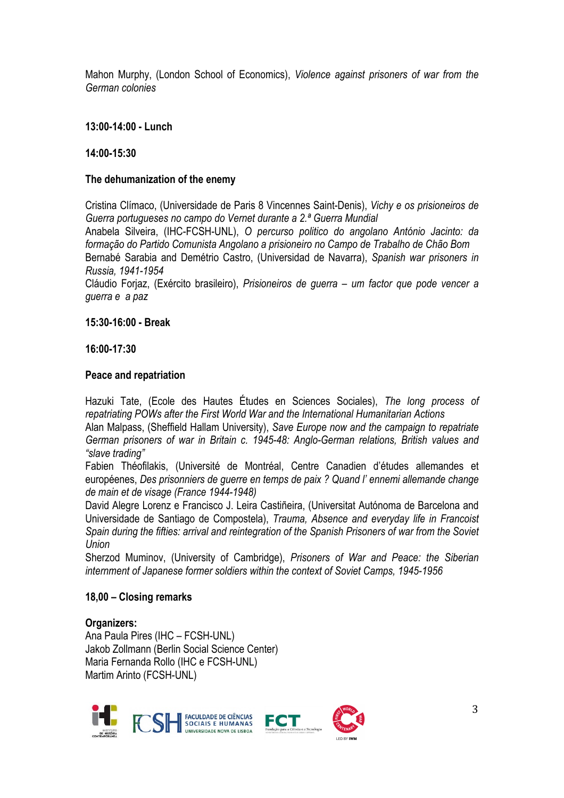Mahon Murphy, (London School of Economics), *Violence against prisoners of war from the German colonies* 

### **13:00-14:00 - Lunch**

#### **14:00-15:30**

### **The dehumanization of the enemy**

Cristina Clímaco, (Universidade de Paris 8 Vincennes Saint-Denis), *Vichy e os prisioneiros de Guerra portugueses no campo do Vernet durante a 2.ª Guerra Mundial*

Anabela Silveira, (IHC-FCSH-UNL), *O percurso politico do angolano António Jacinto: da formação do Partido Comunista Angolano a prisioneiro no Campo de Trabalho de Chão Bom*  Bernabé Sarabia and Demétrio Castro, (Universidad de Navarra), *Spanish war prisoners in Russia, 1941-1954*

Cláudio Forjaz, (Exército brasileiro), *Prisioneiros de guerra – um factor que pode vencer a guerra e a paz* 

### **15:30-16:00 - Break**

### **16:00-17:30**

### **Peace and repatriation**

Hazuki Tate, (Ecole des Hautes Études en Sciences Sociales), *The long process of repatriating POWs after the First World War and the International Humanitarian Actions*

Alan Malpass, (Sheffield Hallam University), *Save Europe now and the campaign to repatriate German prisoners of war in Britain c. 1945-48: Anglo-German relations, British values and "slave trading"*

Fabien Théofilakis, (Université de Montréal, Centre Canadien d'études allemandes et européenes, *Des prisonniers de guerre en temps de paix ? Quand l' ennemi allemande change de main et de visage (France 1944-1948)*

David Alegre Lorenz e Francisco J. Leira Castiñeira, (Universitat Autónoma de Barcelona and Universidade de Santiago de Compostela), *Trauma, Absence and everyday life in Francoist Spain during the fifties: arrival and reintegration of the Spanish Prisoners of war from the Soviet Union*

Sherzod Muminov, (University of Cambridge), *Prisoners of War and Peace: the Siberian internment of Japanese former soldiers within the context of Soviet Camps, 1945-1956*

## **18,00 – Closing remarks**

## **Organizers:**

Ana Paula Pires (IHC – FCSH-UNL) Jakob Zollmann (Berlin Social Science Center) Maria Fernanda Rollo (IHC e FCSH-UNL) Martim Arinto (FCSH-UNL)